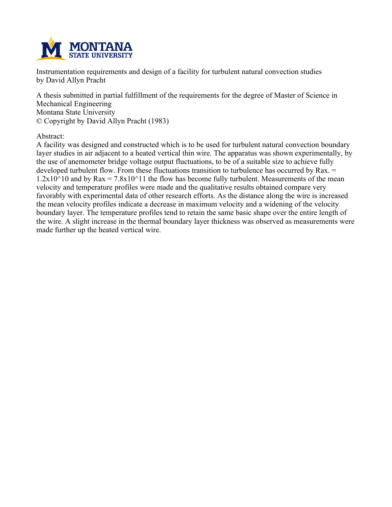

**Instrumentation requirements and design of a facility for turbulent natural convection studies by David Allyn Pracht**

**A thesis submitted in partial fulfillment of the requirements for the degree of Master of Science in Mechanical Engineering Montana State University © Copyright by David Allyn Pracht (1983)**

**Abstract:**

**A facility was designed and constructed which is to be used for turbulent natural convection boundary layer studies in air adjacent to a heated vertical thin wire. The apparatus was shown experimentally, by the use of anemometer bridge voltage output fluctuations, to be of a suitable size to achieve fully developed turbulent flow. From these fluctuations transition to turbulence has occurred by Rax. = 1.2x10^10 and by Rax = 7.8x10^11 the flow has become fully turbulent. Measurements of the mean velocity and temperature profiles were made and the qualitative results obtained compare very favorably with experimental data of other research efforts. As the distance along the wire is increased the mean velocity profiles indicate a decrease in maximum velocity and a widening of the velocity boundary layer. The temperature profiles tend to retain the same basic shape over the entire length of the wire. A slight increase in the thermal boundary layer thickness was observed as measurements were made further up the heated vertical wire.**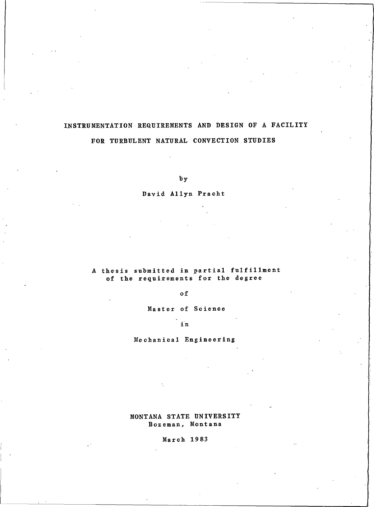# INSTRUMENTATION REQUIREMENTS AND DESIGN OF A FACILITY FOR TURBULENT NATURAL CONVECTION STUDIES

by

David Allyn Pracht

A thesis submitted in partial fulfillment of the requirements for the degree

of

Master of Science

İn

Mechanical Engineering

MONTANA STATE UNIVERSITY Bozeman, Montana

March 1983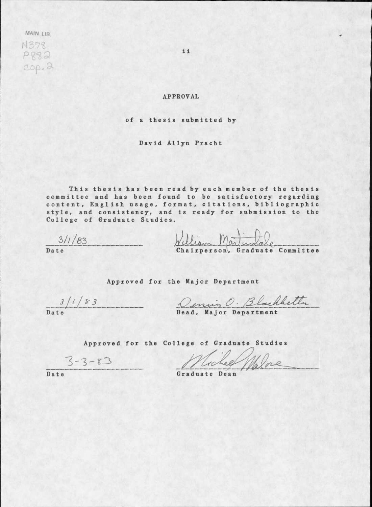MAIN LIB. N378  $P882$ cop.2

**APPROVAL** 

of a thesis submitted by

### David Allyn Pracht

This thesis has been read by each member of the thesis committee and has been found to be satisfactory regarding content, English usage, format, citations, bibliographic style, and consistency, and is ready for submission to the College of Graduate Studies.

 $\frac{3/1/83}{\text{Date}}$ 

William Mailindale Committee

Approved for the Major Department

 $\frac{3}{\text{Date}}$ 

Dennis O. Blackhetter

Approved for the College of Graduate Studies

 $3 - 3 - 83$ 

Michael Malore

Graduate Dean

Date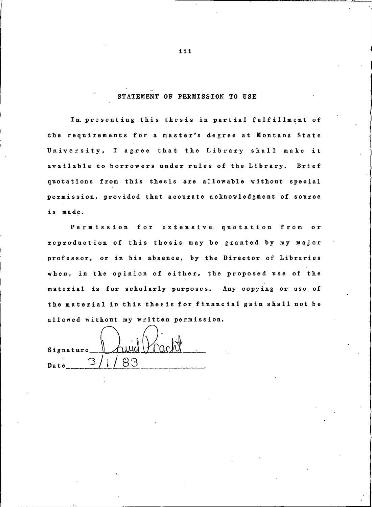## STATEMENT OF PERMISSION TO USE

In presenting this thesis in partial fulfillment of the requirements for a master's degree at Montana State University, I agree that the Library shall make it available to borrowers under rules of the Library. Brief quotations from this thesis are allowable without special permission, provided that accurate acknowledgment of source is made.

Permission for extensive quotation from  $\mathbf{o}$   $\mathbf{r}$ reproduction of this thesis may be granted by my major professor, or in his absence, by the Director of Libraries when, in the opinion of either, the proposed use of the material is for scholarly purposes. Any copying or use of the material in this thesis for financial gain shall not be allowed without my written permission.

Signature З RЗ Date

iii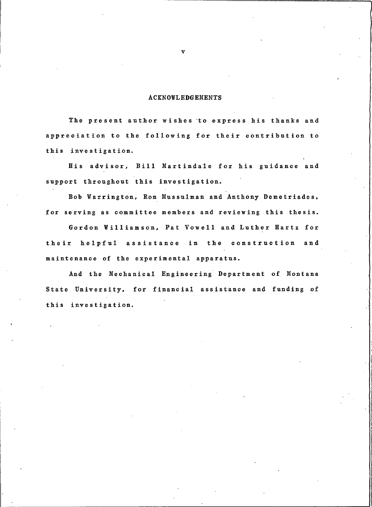## **ACKNOWLEDGEMENTS**

The present author wishes to express his thanks and appreciation to the following for their contribution to this investigation.

His advisor, Bill Martindale for his guidance and support throughout this investigation.

Bob Warrington, Ron Mussulman and Anthony Demetriades, for serving as committee members and reviewing this thesis.

Gordon Williamson, Pat Vowell and Luther Hartz for their helpful assistance in the construction and maintenance of the experimental apparatus.

And the Mechanical Engineering Department of Montana State University, for financial assistance and funding of this investigation.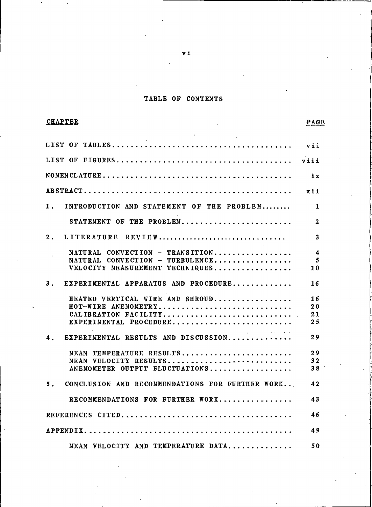# TABLE OF CONTENTS

| <b>CHAPTER</b>                                                                          | PAGE                        |
|-----------------------------------------------------------------------------------------|-----------------------------|
|                                                                                         |                             |
|                                                                                         |                             |
|                                                                                         | ix                          |
|                                                                                         | xii                         |
| INTRODUCTION AND STATEMENT OF THE PROBLEM<br>1.                                         | 1                           |
| STATEMENT OF THE PROBLEM                                                                | $\boldsymbol{2}$            |
| LITERATURE REVIEW<br>2.                                                                 | $\mathbf{3}$                |
| NATURAL CONVECTION - TRANSITION<br>NATURAL CONVECTION - TURBULENCE                      | 4<br>5                      |
| VELOCITY MEASUREMENT TECHNIQUES                                                         | 10                          |
| 3.<br>EXPERIMENTAL APPARATUS AND PROCEDURE                                              | 16                          |
| HEATED VERTICAL WIRE AND SHROUD<br>HOT-WIRE ANEMOMETRY                                  | 16<br>20                    |
| CALIBRATION FACILITY<br>EXPERIMENTAL PROCEDURE                                          | 21<br>25                    |
| EXPERIMENTAL RESULTS AND DISCUSSION<br>4.                                               | 29                          |
| MEAN TEMPERATURE RESULTS<br>MEAN VELOCITY RESULTS                                       | 29<br>32<br>38 <sup>°</sup> |
| ANEMOMETER OUTPUT FLUCTUATIONS<br>5.<br>CONCLUSION AND RECOMMENDATIONS FOR FURTHER WORK | 42                          |
| RECOMMENDATIONS FOR FURTHER WORK                                                        | 43                          |
|                                                                                         | 46                          |
|                                                                                         | 49                          |
| MEAN VELOCITY AND TEMPERATURE DATA                                                      | 50                          |

vi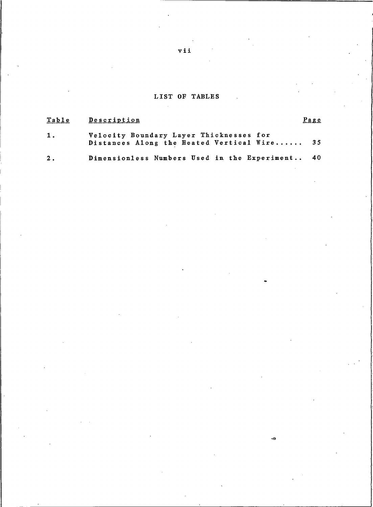# LIST OF TABLES

| Tab1e         | Description                                                                            | Page |
|---------------|----------------------------------------------------------------------------------------|------|
| $\mathbf 1$ . | Velocity Boundary Layer Thicknesses for<br>Distances Along the Heated Vertical Wire 35 |      |
| 2.            | Dimensionless Numbers Used in the Experiment 40                                        |      |

 $\ddot{\phantom{0}}$ 

vii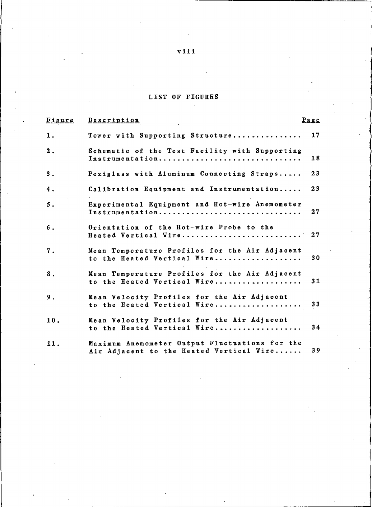# LIST OF FIGURES

| <b>Figure</b> | <u>Description</u>                                                                         | $P_{\text{age}}$ |
|---------------|--------------------------------------------------------------------------------------------|------------------|
| 1.            | Tower with Supporting Structure                                                            | 17               |
| 2.            | Schematic of the Test Facility with Supporting<br>Instrumentation                          | 18               |
| 3.            | Pexiglass with Aluminum Connecting Straps                                                  | 23               |
| 4.            | Calibration Equipment and Instrumentation                                                  | 23               |
| $5$ .         | Experimental Equipment and Hot-wire Anemometer<br>Instrumentation                          | 27               |
| 6.            | Orientation of the Hot-wire Probe to the<br>Heated Vertical Wire                           | 27               |
| 7.            | Mean Temperature Profiles for the Air Adjacent<br>to the Heated Vertical Wire              | 30               |
| 8.            | Mean Temperature Profiles for the Air Adjacent<br>to the Heated Vertical Wire              | 31               |
| 9.            | Mean Velocity Profiles for the Air Adjacent<br>to the Heated Vertical Wire                 | 33               |
| 10.           | Mean Velocity Profiles for the Air Adjacent<br>to the Heated Vertical Wire                 | 34               |
| 11.           | Maximum Anemometer Output Fluctuations for the<br>Air Adjacent to the Heated Vertical Wire | 39               |

# viii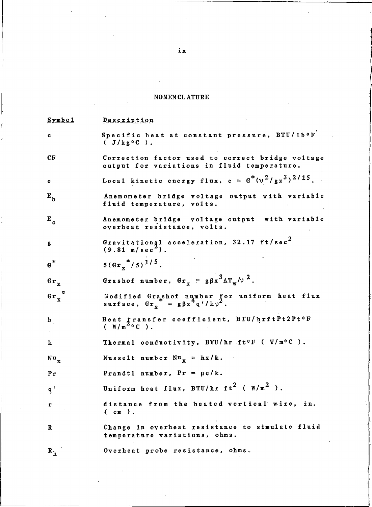# NOMENCL ATURE

| <b>Symbol</b>        | Description                                                                                     |
|----------------------|-------------------------------------------------------------------------------------------------|
| $\mathbf c$          | Specific heat at constant pressure, BTU/1boF<br>$(J/kg^oC)$ .                                   |
| CF                   | Correction factor used to correct bridge voltage<br>output for variations in fluid temperature. |
| e                    | Local kinetic energy flux, $e = G^*(\nu^2/gx^3)^{2/15}$ .                                       |
| $E_{\mathbf{b}}$     | Anemometer bridge voltage output with variable<br>fluid temperature, volts.                     |
| $E_c$                | Anemometer bridge voltage output with variable<br>overheat resistance, volts.                   |
| g                    | Gravitational acceleration, 32.17 ft/sec <sup>2</sup><br>$(9.81 \text{ m/sec}^2).$              |
| $\mathbf{G}^*$       | $5(6r^{*}/5)^{1/5}$ .                                                                           |
| $Gr_{\tau}$          | Grashof number, $Gr_x = g\beta x^3 \Delta T_w / v^2$ .                                          |
| $Gr \frac{1}{x}$     | Modified Grashof number for uniform heat flux<br>surface, $Gr_x = g\beta x^4 q'/ky^2$ .         |
| h                    | Heat transfer coefficient, BTU/hrftPt2Pt <sup>o</sup> F<br>$(\mathbb{W}/m^2 \circ C)$ .         |
| k                    | Thermal conductivity, BTU/hr ft <sup>o</sup> F ( W/m <sup>o</sup> C ).                          |
| $Nu_{\mathbf{x}}$    | Nusselt number $Nu_x = hx/k$ .                                                                  |
| $P_T$                | Prandtl number, $Pr = \mu c/k$ .                                                                |
| $\boldsymbol{q}$ $'$ | Uniform heat flux, BTU/hr ft <sup>2</sup> ( $W/m2$ ).                                           |
| r                    | distance from the heated vertical wire, in.<br>$(m)$ .                                          |
| R                    | Change in overheat resistance to simulate fluid<br>temperature variations, ohms.                |
| $R_h$                | Overheat probe resistance, ohms.                                                                |

 $ix$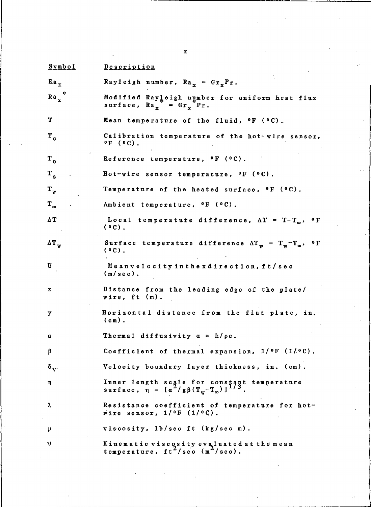| Symbol                                             | Description                                                                                              |
|----------------------------------------------------|----------------------------------------------------------------------------------------------------------|
| $Ra_{x}$                                           | Rayleigh number, $Ra_{x} = Gr_{x}Pr$ .                                                                   |
| $\mathbf{R} \, \mathbf{a \, \frac{m}{\mathbf{X}}}$ | Modified Rayleigh number for uniform heat flux<br>surface, $Ra_{x}^{\dagger} = Gr_{x}^{\dagger} Pr.$     |
| T                                                  | Mean temperature of the fluid, <sup>o</sup> F (°C).                                                      |
| $\mathbf{r}_{c}$                                   | Calibration temperature of the hot-wire sensor,<br>$^{\circ}$ F ( $^{\circ}$ C).                         |
| $T_{\alpha}$                                       | Reference temperature, <sup>o</sup> F (°C).                                                              |
| $\mathbf{r}_\mathbf{s}$                            | Hot-wire sensor temperature, <sup>o</sup> F (°C).                                                        |
| $T_{w}$                                            | Temperature of the heated surface, $\circ$ F ( $\circ$ C).                                               |
| $T_{\infty}$                                       | Ambient temperature, <sup>o</sup> F (°C).                                                                |
| $\Delta T$                                         | Local temperature difference, $\Delta T = T - T_{\infty}$ , of<br>$(°C)$ .                               |
| $\Delta T_{w}$                                     | Surface temperature difference $\Delta T_w = T_w - T_{\omega}$ , of<br>$(0C)$ .                          |
| U                                                  | Meanvelocity in the xdirection, ft/sec<br>$(m/sec)$ .                                                    |
| x                                                  | Distance from the leading edge of the plate/<br>wire, $ft(m)$ .                                          |
| у                                                  | Horizontal distance from the flat plate, in.<br>$(cm)$ .                                                 |
| α                                                  | Thermal diffusivity $\alpha = k/\rho c$ .                                                                |
| β                                                  | Coefficient of thermal expansion, $1/°F$ (1/°C).                                                         |
| $\delta_{\mathbf{v}}$ .                            | Velocity boundary layer thickness, in. (cm).                                                             |
| η                                                  | Inner length scale for constant temperature<br>surface, $\eta = [\alpha^2/g\beta(T_w-T_\infty)]^{1/3}$ . |
| λ                                                  | Resistance coefficient of temperature for hot-<br>wire sensor, $1/°F$ ( $1/°C$ ).                        |
| μ                                                  | viscosity, 1b/sec ft (kg/sec m).                                                                         |
| ν                                                  | Kinematic viscosity evaluated at the mean<br>temperature, ft <sup>2</sup> /sec (m <sup>2</sup> /sec).    |

 $\mathbf{x}$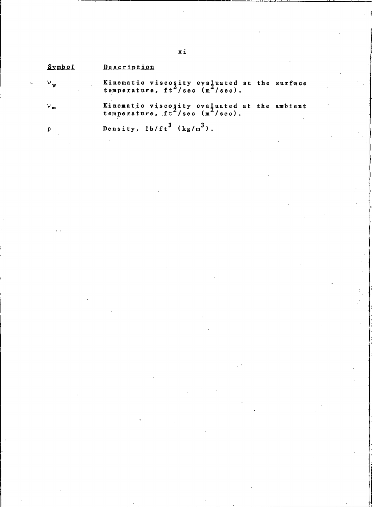$v_w$ 

 $v_{\infty}$ 

Kinematic viscosity eyaluated at the surface<br>temperature,  $ft^2/sec$  (m<sup>2</sup>/sec).

Kinematic viscosity evaluated at the ambient<br>temperature,  $ft^2/sec$  (m<sup>2</sup>/sec).

 $\pmb{\rho}$ 

Density,  $1b/ft^3$   $(kg/m^3)$ .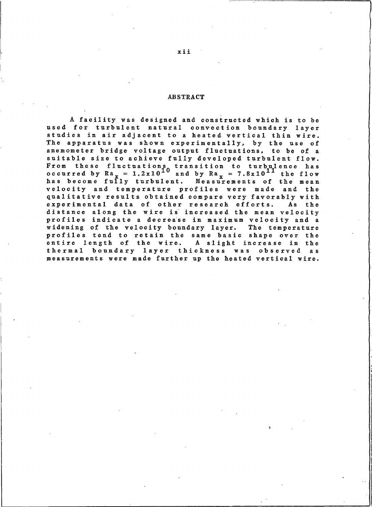#### ABSTRACT

A facility was designed and constructed which is to be used for turbulent natural convection boundary layer studies in air adjacent to a heated vertical thin wire. The apparatus was shown experimentally, by the use of anemometer bridge voltage output fluctuations, to be of a suitable size to achieve fully developed turbulent flow. From these fluctuations transition to turbulence has<br>occurred by  $Ra_{x} = 1.2x10^{10}$  and by  $Ra_{x} = 7.8x10^{11}$  the flow has become fully turbulent. Measurements of the mean velocity and temperature profiles were made and the qualitative results obtained compare very favorably with experimental data of other research efforts. As the distance along the wire is increased the mean velocity profiles indicate a decrease in maximum velocity and a widening of the velocity boundary layer. The temperature profiles tend to retain the same basic shape over the entire length of the wire. A slight increase in the thermal boundary layer thickness was observed as measurements were made further up the heated vertical wire.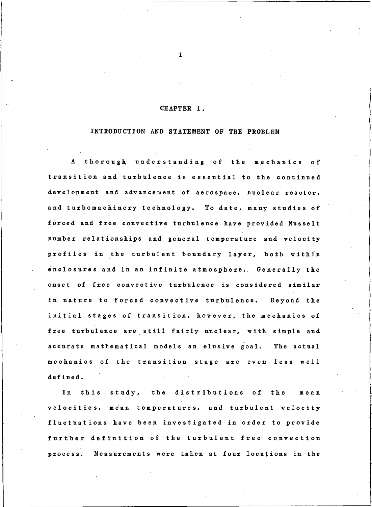# CHAPTER 1.

#### INTRODUCTION AND STATEMENT OF THE PROBLEM

A thorough understanding of the mechanics o f transition and turbulence is essential to the continued development and advancement of aerospace, nuclear reactor, and turbomachinery technology. To date, many studies of forced and free convective turbulence have provided Nusselt number relationships and general temperature and velocity profiles in the turbulent boundary layer, both within enclosures and in an infinite atmosphere. Generally the onset of free convective turbulence is considered similar in nature to forced convective turbulence. Beyond the initial stages of transition, however, the mechanics of free turbulence are still fairly unclear, with simple and accurate mathematical models an elusive goal. The actual mechanics of the transition stage are even less well defined.

In this study, the distributions of the mean velocities, mean temperatures, and turbulent velocity fluctuations have been investigated in order to provide further definition of the turbulent free convection process. Measurements were taken at four locations in the

 $\mathbf{1}$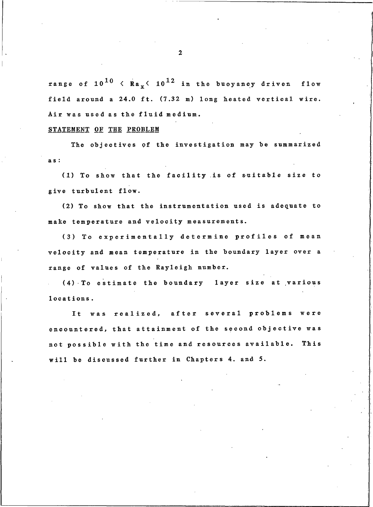range of  $10^{10}$  < Ra<sub>v</sub> <  $10^{12}$  in the buoyancy driven  $f 1 o w$ field around a 24.0 ft. (7.32 m) long heated vertical wire. Air was used as the fluid medium.

# STATEMENT OF THE PROBLEM

The objectives of the investigation may be summarized  $a s:$ 

(1) To show that the facility is of suitable size to give turbulent flow.

(2) To show that the instrumentation used is adequate to make temperature and velocity measurements.

(3) To experimentally determine profiles of mean velocity and mean temperature in the boundary layer over a range of values of the Rayleigh number.

(4) To estimate the boundary layer size at various locations.

It was realized, after several problems were encountered, that attainment of the second objective was not possible with the time and resources available. This will be discussed further in Chapters 4. and 5.

 $\overline{2}$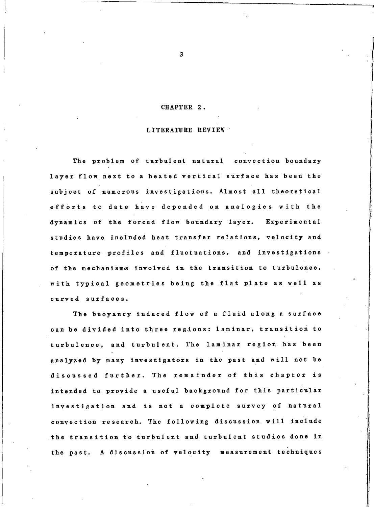## CHAPTER 2.

#### LITERATURE REVIEW

The problem of turbulent natural convection boundary layer flow next to a heated vertical surface has been the subject of numerous investigations. Almost all theoretical efforts to date have depended on analogies with the dynamics of the forced flow boundary layer. Experimental studies have included heat transfer relations, velocity and temperature profiles and fluctuations, and investigations of the mechanisms involved in the transition to turbulence, with typical geometries being the flat plate as well as curved surfaces.

The buoyancy induced flow of a fluid along a surface can be divided into three regions: laminar, transition to turbulence, and turbulent. The laminar region has been analyzed by many investigators in the past and will not be discussed further. The remainder of this chapter is intended to provide a useful background for this particular investigation and is not a complete survey of natural convection research. The following discussion will include the transition to turbulent and turbulent studies done in the past. A discussion of velocity measurement techniques

 $\overline{3}$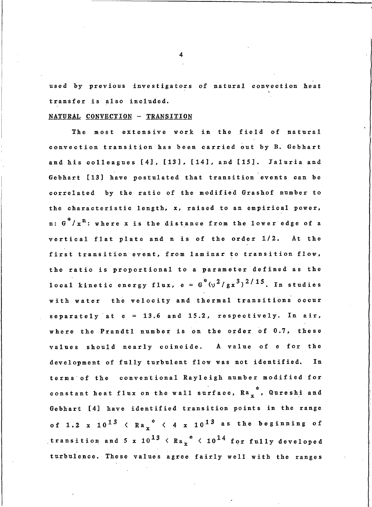used by previous investigators of natural convection heat transfer is also included.

# NATURAL CONVECTION - TRANSITION

The most extensive work in the field of natural convection transition has been carried out by B. Gebhart and his colleagues [4], [13], [14], and [15]. Jaluria and Gebhart [13] have postulated that transition events can be correlated by the ratio of the modified Grashof number to the characteristic length, x, raised to an empirical power, n: G<sup>\*</sup>/x<sup>n</sup>: where x is the distance from the lower edge of a vertical flat plate and n is of the order 1/2. At the first transition event, from laminar to transition flow, the ratio is proportional to a parameter defined as the local kinetic energy flux, e =  $G^{*}(v^{2}/gx^{3})^{2/15}$ . In studies with water the velocity and thermal transitions occur separately at  $e = 13.6$  and 15.2, respectively. In air, where the Prandt1 number is on the order of 0.7, these values should nearly coincide. A value of e for the development of fully turbulent flow was not identified. In terms of the conventional Rayleigh number modified for constant heat flux on the wall surface,  $Ra_{x}^{*}$ , Qureshi and Gebhart [4] have identified transition points in the range of 1.2 x  $10^{13}$  < Ra<sub>x</sub><sup>\*</sup> < 4 x  $10^{13}$  as the beginning of transition and 5 x  $10^{13}$  < Ra $_{\mathrm{x}}$   $^*$  <  $10^{14}$  for fully developed turbulence. These values agree fairly well with the ranges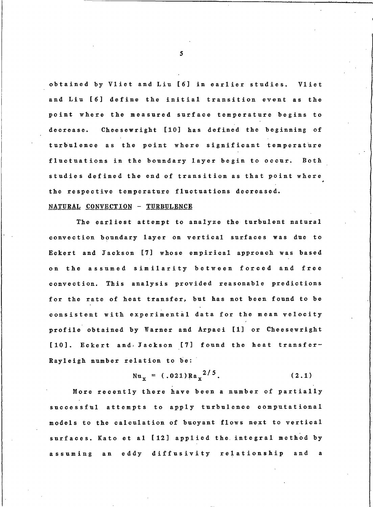obtained by Vliet and Liu [6] in earlier studies. V1iet and Liu [6] define the initial transition event as the point where the measured surface temperature begins to Cheesewright [10] has defined the beginning of decrease. turbulence as the point where significant temperature fluctuations in the boundary layer begin to occur. Both studies defined the end of transition as that point where the respective temperature fluctuations decreased.

#### NATURAL CONVECTION - TURBULENCE

The earliest attempt to analyze the turbulent natural convection boundary layer on vertical surfaces was due to Eckert and Jackson [7] whose empirical approach was based on the assumed similarity between forced and free convection. This analysis provided reasonable predictions for the rate of heat transfer, but has not been found to be consistent with experimental data for the mean velocity profile obtained by Warner and Arpaci [1] or Cheesewright [10]. Eckert and Jackson [7] found the heat transfer-Rayleigh number relation to be:

$$
Nu_{x} = (.021) Ra_{x}^{2/5}.
$$
 (2.1)

More recently there have been a number of partially successful attempts to apply turbulence computational models to the calculation of buoyant flows next to vertical surfaces. Kato et al [12] applied the integral method by an eddy diffusivity relationship and assuming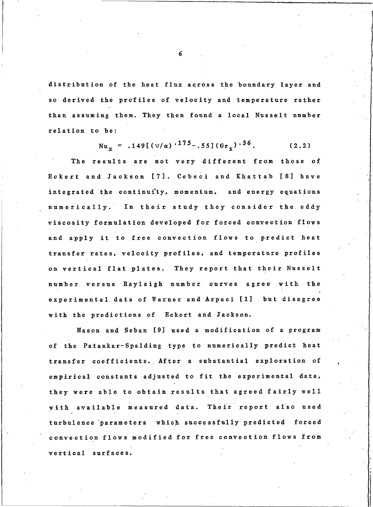distribution of the heat flux across the boundary layer and so derived the profiles of velocity and temperature rather than assuming them. They then found a local Nusselt number relation to be:

$$
Nu_{x} = .149[(\nu/a)^{-175}-.55](6r_{x})^{-36}. \qquad (2.2)
$$

The results are not very different from those of Eckert and Jackson [7]. Cebeci and Khattab [8] have integrated the continuity, momentum, and energy equations numerically. In their study they consider the eddy viscosity formulation developed for forced convection flows and apply it to free convection flows to predict heat transfer rates, velocity profiles, and temperature profiles on vertical flat plates. They report that their Nusselt number versus Rayleigh number curves agree with the experimental data of Warner and Arpaci [1] but disagree with the predictions of Eckert and Jackson.

Mason and Seban [9] used a modification of a program of the Patankar-Spalding type to numerically predict heat transfer coefficients. After a substantial exploration of empirical constants adjusted to fit the experimental data, they were able to obtain results that agreed fairly well with available measured data. Their report also used turbulence parameters which successfully predicted forced convection flows modified for free convection flows from vertical surfaces.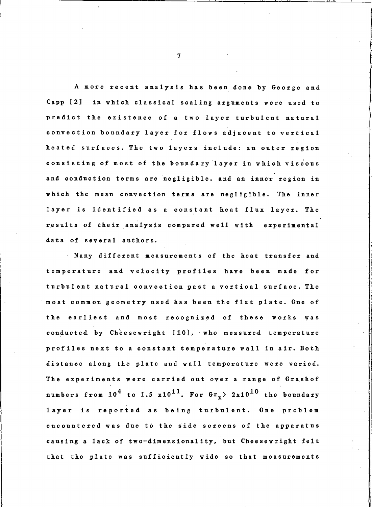A more recent analysis has been done by George and Capp [2] in which classical scaling arguments were used to predict the existence of a two layer turbulent natural convection boundary layer for flows adjacent to vertical heated surfaces. The two layers include: an outer region consisting of most of the boundary layer in which viscous and conduction terms are negligible, and an inner region in which the mean convection terms are negligible. The inner layer is identified as a constant heat flux layer. The results of their analysis compared well with experimental data of several authors.

Many different measurements of the heat transfer and temperature and velocity profiles have been made for turbulent natural convection past a vertical surface. The most common geometry used has been the flat plate. One of the earliest and most recognized of these works was conducted by Cheesewright [10], who measured temperature profiles next to a constant temperature wall in air. Both distance along the plate and wall temperature were varied. The experiments were carried out over a range of Grashof numbers from  $10^4$  to 1.5  $x10^{11}$ . For  $Gr_y$  2x10<sup>10</sup> the boundary layer is reported as being turbulent. One problem encountered was due to the side screens of the apparatus causing a lack of two-dimensionality, but Cheesewright felt that the plate was sufficiently wide so that measurements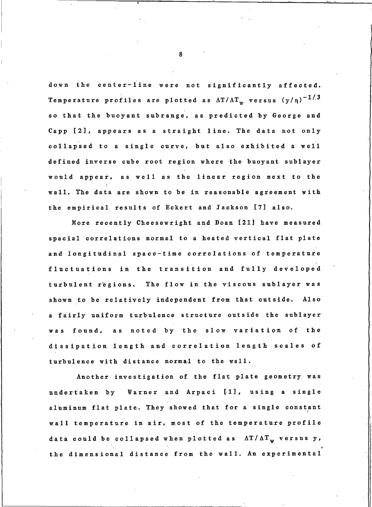down the center-line were not significantly affected. Temperature profiles are plotted as  $\Delta T/\Delta T_{w}$  versus  $(y/\eta)^{-1/3}$ so that the buoyant subrange, as predicted by George and Capp [2], appears as a straight line. The data not only collapsed to a single curve, but also exhibited a well defined inverse cube root region where the buoyant sublayer would appear, as well as the linear region next to the wall. The data are shown to be in reasonable agreement with the empirical results of Eckert and Jackson [7] also.

More recently Cheesewright and Doan [21] have measured spacial correlations normal to a heated vertical flat plate and longitudinal space-time correlations of temperature fluctuations in the transition and fully developed turbulent regions. The flow in the viscous sublayer was shown to be relatively independent from that outside. Also a fairly uniform turbulence structure outside the sublayer was found, as noted by the slow variation of the dissipation length and correlation length scales of turbulence with distance normal to the wall.

Another investigation of the flat plate geometry was undertaken by Warner and Arpaci [1], using a single aluminum flat plate. They showed that for a single constant wall temperature in air, most of the temperature profile data could be collapsed when plotted as  $\Delta T / \Delta T_w$  versus y, the dimensional distance from the wall. An experimental

R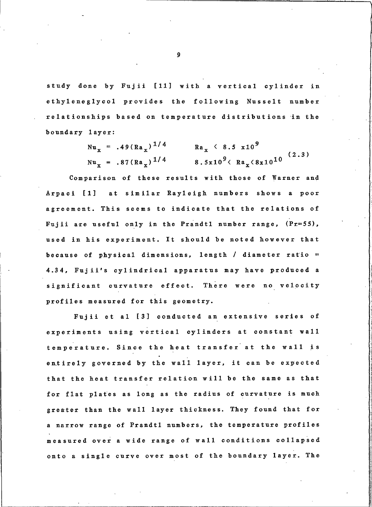study done by Fujii [11] with a vertical cylinder in ethyleneglycol provides the following Nusselt number relationships based on temperature distributions in the boundary layer:

$$
Nu_{x} = .49(Ra_{x})^{1/4} \t Ra_{x} \t 8.5 x10^{9}
$$
  
\n
$$
Nu_{x} = .87(Ra_{x})^{1/4} \t 8.5x10^{9} \t Ra_{x} \t 8x10^{10} \t (2.3)
$$

Comparison of these results with those of Warner and Arpaci [1] at similar Rayleigh numbers shows a poor agreement. This seems to indicate that the relations of Fujii are useful only in the Prandtl number range, (Pr=55), used in his experiment. It should be noted however that because of physical dimensions, length / diameter ratio = 4.34, Fujii's cylindrical apparatus may have produced a significant curvature effect. There were no velocity profiles measured for this geometry.

Fujii et al [3] conducted an extensive series of experiments using vertical cylinders at constant wall temperature. Since the heat transfer at the wall is entirely governed by the wall layer, it can be expected that the heat transfer relation will be the same as that for flat plates as long as the radius of curvature is much greater than the wall layer thickness. They found that for a narrow range of Prandtl numbers, the temperature profiles measured over a wide range of wall conditions collapsed onto a single curve over most of the boundary layer. The

 $\boldsymbol{9}$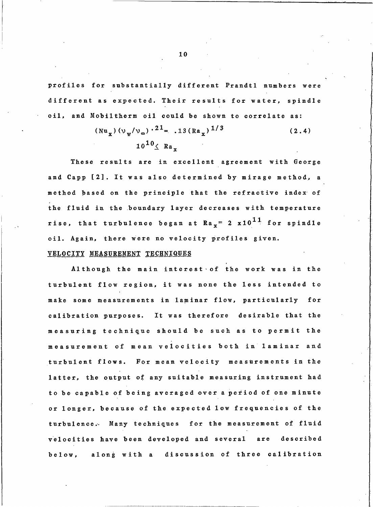profiles for substantially different Prandtl numbers were different as expected. Their results for water, spindle oil, and Mobiltherm oil could be shown to correlate as:

$$
Nu_{x})(v_{w}/v_{\infty}) \cdot 21 = .13 (Ra_{x})^{1/3}
$$
\n
$$
10^{10} \leq Ra_{x}
$$
\n(2.4)

These results are in excellent agreement with George and Capp [2]. It was also determined by mirage method, a method based on the principle that the refractive index of the fluid in the boundary layer decreases with temperature rise, that turbulence began at  $Ra_{x} = 2 x 10^{11}$  for spindle oil. Again, there were no velocity profiles given.

### VELOCITY MEASUREMENT TECHNIQUES

Although the main interest of the work was in the turbulent flow region, it was none the less intended to make some measurements in laminar flow, particularly for calibration purposes. It was therefore desirable that the measuring technique should be such as to permit the measurement of mean velocities both in laminar and turbulent flows. For mean velocity measurements in the latter, the output of any suitable measuring instrument had to be capable of being averaged over a period of one minute or longer, because of the expected low frequencies of the turbulence. Many techniques for the measurement of fluid velocities have been developed and several are described below, along with a discussion of three calibration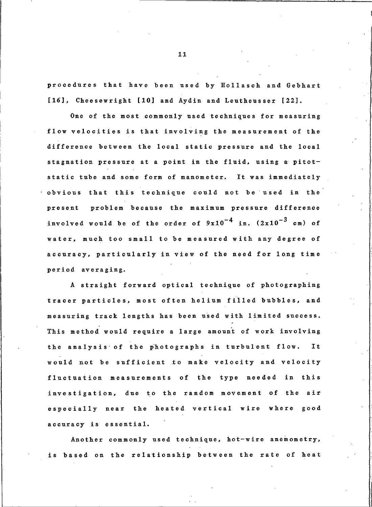procedures that have been used by Hollasch and Gebhart [16], Cheesewright [10] and Aydin and Leutheusser [22].

One of the most commonly used techniques for measuring flow velocities is that involving the measurement of the difference between the local static pressure and the local stagnation pressure at a point in the fluid, using a pitotstatic tube and some form of manometer. It was immediately obvious that this technique could not be used in the present problem because the maximum pressure difference involved would be of the order of  $9x10^{-4}$  in.  $(2x10^{-3}$  cm) of water, much too small to be measured with any degree of accuracy, particularly in view of the need for long time period averaging.

A straight forward optical technique of photographing tracer particles, most often helium filled bubbles, and measuring track lengths has been used with limited success. This method would require a large amount of work involving the analysis of the photographs in turbulent flow. I<sub>t</sub> would not be sufficient to make velocity and velocity fluctuation measurements of the type needed in this investigation, due to the random movement of the air especially near the heated vertical wire where good accuracy is essential.

Another commonly used technique, hot-wire anemometry, is based on the relationship between the rate of heat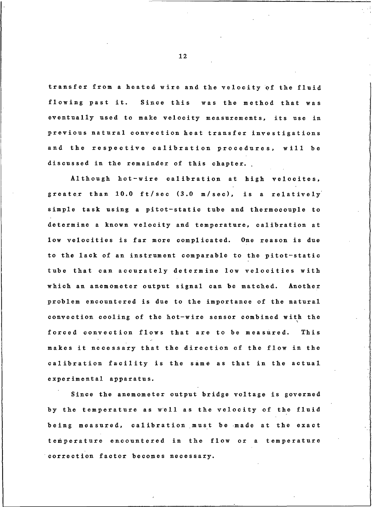transfer from a heated wire and the velocity of the fluid flowing past it. Since this was the method that was eventually used to make velocity measurements, its use in previous natural convection heat transfer investigations and the respective calibration procedures, will be discussed in the remainder of this chapter.

Although hot-wire calibration at high velocites, greater than 10.0 ft/sec (3.0 m/sec), is a relatively simple task using a pitot-static tube and thermocouple to determine a known velocity and temperature, calibration at low velocities is far more complicated. One reason is due to the lack of an instrument comparable to the pitot-static tube that can accurately determine low velocities with which an anemometer output signal can be matched. Another problem encountered is due to the importance of the natural convection cooling of the hot-wire sensor combined with the forced convection flows that are to be measured. This makes it necessary that the direction of the flow in the calibration facility is the same as that in the actual experimental apparatus.

Since the anemometer output bridge voltage is governed by the temperature as well as the velocity of the fluid being measured, calibration must be made at the exact temperature encountered in the flow or a temperature correction factor becomes necessary.